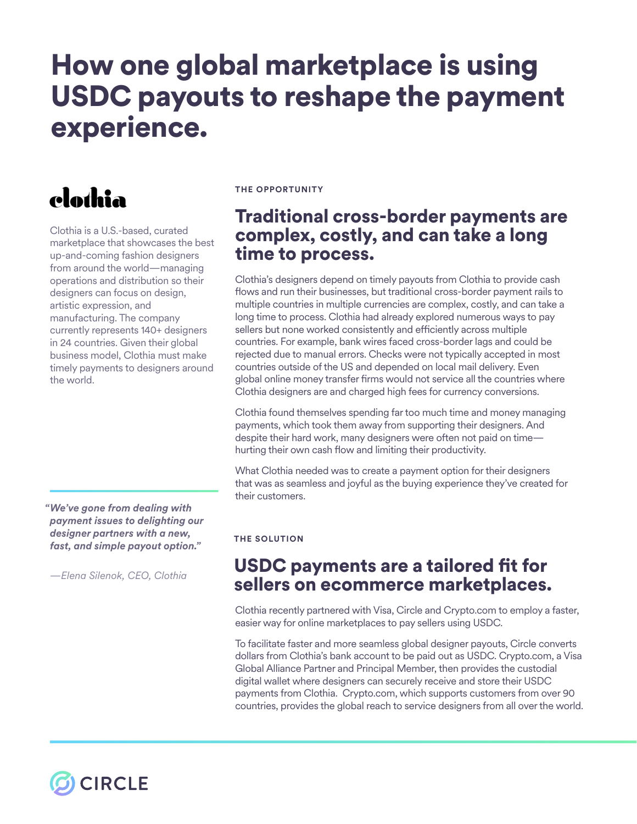# How one global marketplace is using USDC payouts to reshape the payment experience.

## clothia

Clothia is a U.S.-based, curated marketplace that showcases the best up-and-coming fashion designers from around the world—managing operations and distribution so their designers can focus on design, artistic expression, and manufacturing. The company currently represents 140+ designers in 24 countries. Given their global business model, Clothia must make timely payments to designers around the world.

*We've gone from dealing with " payment issues to delighting our designer partners with a new, fast, and simple payout option."*

*—Elena Silenok, CEO, Clothia*

**CIRCLE** 

#### **THE OPPORTUNITY**

## Traditional cross-border payments are complex, costly, and can take a long time to process.

Clothia's designers depend on timely payouts from Clothia to provide cash fows and run their businesses, but traditional cross-border payment rails to multiple countries in multiple currencies are complex, costly, and can take a long time to process. Clothia had already explored numerous ways to pay sellers but none worked consistently and efficiently across multiple countries. For example, bank wires faced cross-border lags and could be rejected due to manual errors. Checks were not typically accepted in most countries outside of the US and depended on local mail delivery. Even global online money transfer frms would not service all the countries where Clothia designers are and charged high fees for currency conversions.

Clothia found themselves spending far too much time and money managing payments, which took them away from supporting their designers. And despite their hard work, many designers were often not paid on time hurting their own cash flow and limiting their productivity.

What Clothia needed was to create a payment option for their designers that was as seamless and joyful as the buying experience they've created for their customers.

#### **THE SOLUTION**

### USDC payments are a tailored fit for sellers on ecommerce marketplaces.

Clothia recently partnered with Visa, Circle and Crypto.com to employ a faster, easier way for online marketplaces to pay sellers using USDC.

To facilitate faster and more seamless global designer payouts, Circle converts dollars from Clothia's bank account to be paid out as USDC. Crypto.com, a Visa Global Alliance Partner and Principal Member, then provides the custodial digital wallet where designers can securely receive and store their USDC payments from Clothia. Crypto.com, which supports customers from over 90 countries, provides the global reach to service designers from all over the world.